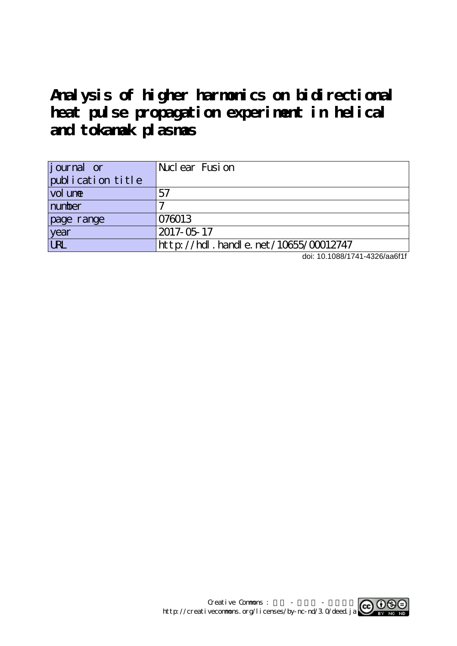# **Analysis of higher harmonics on bidirectional heat pulse propagation experiment in helical and tokamak plasmas**

| <i>j</i> ournal or | Nuclear Fusion                       |
|--------------------|--------------------------------------|
| publication title  |                                      |
| vol une            | 57                                   |
| number             |                                      |
| page range         | 076013                               |
| year               | 2017-05-17                           |
| <b>URL</b>         | http://hdl.handle.net/10655/00012747 |

doi: 10.1088/1741-4326/aa6f1f

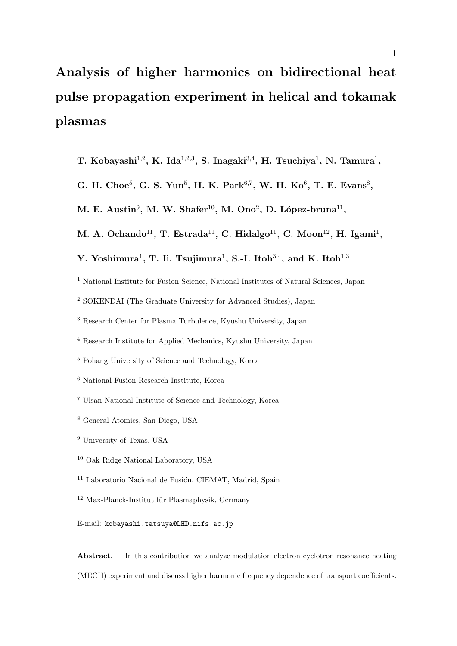# **Analysis of higher harmonics on bidirectional heat pulse propagation experiment in helical and tokamak plasmas**

- **T. Kobayashi**<sup>1</sup>*,*<sup>2</sup> **, K. Ida**<sup>1</sup>*,*2*,*<sup>3</sup> **, S. Inagaki**<sup>3</sup>*,*<sup>4</sup> **, H. Tsuchiya**<sup>1</sup> **, N. Tamura**<sup>1</sup> **,**
- G. H. Choe<sup>5</sup>, G. S. Yun<sup>5</sup>, H. K. Park<sup>6,7</sup>, W. H. Ko<sup>6</sup>, T. E. Evans<sup>8</sup>,
- $M$ . E. Austin<sup>9</sup>, M. W. Shafer<sup>10</sup>, M. Ono<sup>2</sup>, D. López-bruna<sup>11</sup>,
- $M.$  A. Ochando<sup>11</sup>, T. Estrada<sup>11</sup>, C. Hidalgo<sup>11</sup>, C. Moon<sup>12</sup>, H. Igami<sup>1</sup>,
- **Y.** Yoshimura<sup>1</sup>, T. Ii. Tsujimura<sup>1</sup>, S.-I. Itoh<sup>3,4</sup>, and K. Itoh<sup>1,3</sup>
- <sup>1</sup> National Institute for Fusion Science, National Institutes of Natural Sciences, Japan
- <sup>2</sup> SOKENDAI (The Graduate University for Advanced Studies), Japan
- <sup>3</sup> Research Center for Plasma Turbulence, Kyushu University, Japan
- <sup>4</sup> Research Institute for Applied Mechanics, Kyushu University, Japan
- <sup>5</sup> Pohang University of Science and Technology, Korea
- <sup>6</sup> National Fusion Research Institute, Korea
- <sup>7</sup> Ulsan National Institute of Science and Technology, Korea
- <sup>8</sup> General Atomics, San Diego, USA
- <sup>9</sup> University of Texas, USA
- <sup>10</sup> Oak Ridge National Laboratory, USA
- <sup>11</sup> Laboratorio Nacional de Fusión, CIEMAT, Madrid, Spain
- $12$  Max-Planck-Institut für Plasmaphysik, Germany

Abstract. In this contribution we analyze modulation electron cyclotron resonance heating (MECH) experiment and discuss higher harmonic frequency dependence of transport coefficients.

E-mail: kobayashi.tatsuya@LHD.nifs.ac.jp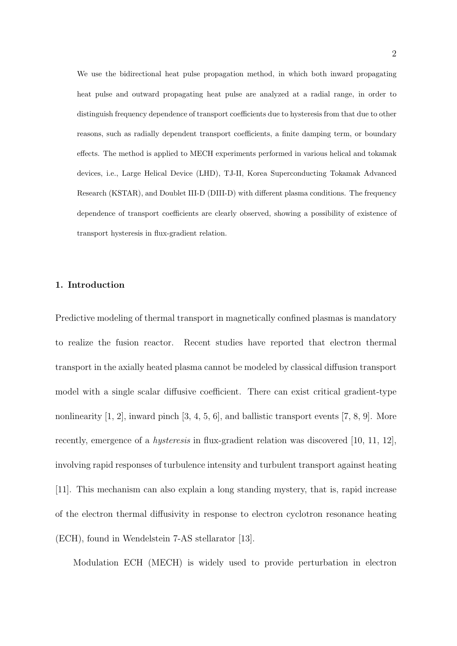We use the bidirectional heat pulse propagation method, in which both inward propagating heat pulse and outward propagating heat pulse are analyzed at a radial range, in order to distinguish frequency dependence of transport coefficients due to hysteresis from that due to other reasons, such as radially dependent transport coefficients, a finite damping term, or boundary effects. The method is applied to MECH experiments performed in various helical and tokamak devices, i.e., Large Helical Device (LHD), TJ-II, Korea Superconducting Tokamak Advanced Research (KSTAR), and Doublet III-D (DIII-D) with different plasma conditions. The frequency dependence of transport coefficients are clearly observed, showing a possibility of existence of transport hysteresis in flux-gradient relation.

#### **1. Introduction**

Predictive modeling of thermal transport in magnetically confined plasmas is mandatory to realize the fusion reactor. Recent studies have reported that electron thermal transport in the axially heated plasma cannot be modeled by classical diffusion transport model with a single scalar diffusive coefficient. There can exist critical gradient-type nonlinearity [1, 2], inward pinch [3, 4, 5, 6], and ballistic transport events [7, 8, 9]. More recently, emergence of a *hysteresis* in flux-gradient relation was discovered [10, 11, 12], involving rapid responses of turbulence intensity and turbulent transport against heating [11]. This mechanism can also explain a long standing mystery, that is, rapid increase of the electron thermal diffusivity in response to electron cyclotron resonance heating (ECH), found in Wendelstein 7-AS stellarator [13].

Modulation ECH (MECH) is widely used to provide perturbation in electron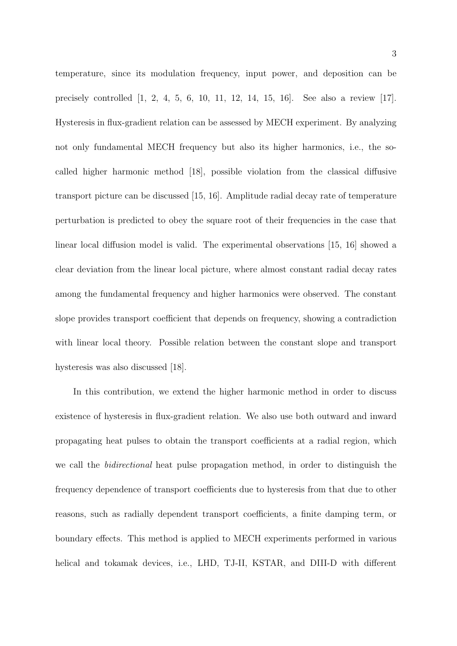temperature, since its modulation frequency, input power, and deposition can be precisely controlled [1, 2, 4, 5, 6, 10, 11, 12, 14, 15, 16]. See also a review [17]. Hysteresis in flux-gradient relation can be assessed by MECH experiment. By analyzing not only fundamental MECH frequency but also its higher harmonics, i.e., the socalled higher harmonic method [18], possible violation from the classical diffusive transport picture can be discussed [15, 16]. Amplitude radial decay rate of temperature perturbation is predicted to obey the square root of their frequencies in the case that linear local diffusion model is valid. The experimental observations [15, 16] showed a clear deviation from the linear local picture, where almost constant radial decay rates among the fundamental frequency and higher harmonics were observed. The constant slope provides transport coefficient that depends on frequency, showing a contradiction with linear local theory. Possible relation between the constant slope and transport hysteresis was also discussed [18].

In this contribution, we extend the higher harmonic method in order to discuss existence of hysteresis in flux-gradient relation. We also use both outward and inward propagating heat pulses to obtain the transport coefficients at a radial region, which we call the *bidirectional* heat pulse propagation method, in order to distinguish the frequency dependence of transport coefficients due to hysteresis from that due to other reasons, such as radially dependent transport coefficients, a finite damping term, or boundary effects. This method is applied to MECH experiments performed in various helical and tokamak devices, i.e., LHD, TJ-II, KSTAR, and DIII-D with different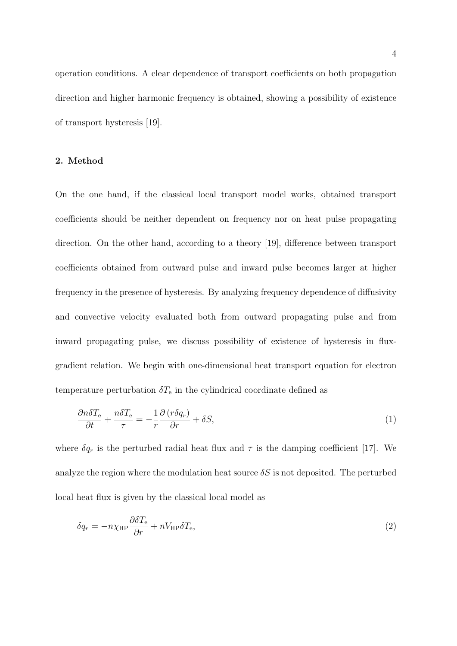operation conditions. A clear dependence of transport coefficients on both propagation direction and higher harmonic frequency is obtained, showing a possibility of existence of transport hysteresis [19].

#### **2. Method**

On the one hand, if the classical local transport model works, obtained transport coefficients should be neither dependent on frequency nor on heat pulse propagating direction. On the other hand, according to a theory [19], difference between transport coefficients obtained from outward pulse and inward pulse becomes larger at higher frequency in the presence of hysteresis. By analyzing frequency dependence of diffusivity and convective velocity evaluated both from outward propagating pulse and from inward propagating pulse, we discuss possibility of existence of hysteresis in fluxgradient relation. We begin with one-dimensional heat transport equation for electron temperature perturbation  $\delta T_e$  in the cylindrical coordinate defined as

$$
\frac{\partial n \delta T_{\rm e}}{\partial t} + \frac{n \delta T_{\rm e}}{\tau} = -\frac{1}{r} \frac{\partial (r \delta q_r)}{\partial r} + \delta S,\tag{1}
$$

where  $\delta q_r$  is the perturbed radial heat flux and  $\tau$  is the damping coefficient [17]. We analyze the region where the modulation heat source  $\delta S$  is not deposited. The perturbed local heat flux is given by the classical local model as

$$
\delta q_r = -n\chi_{\rm HP} \frac{\partial \delta T_{\rm e}}{\partial r} + nV_{\rm HP} \delta T_{\rm e},\tag{2}
$$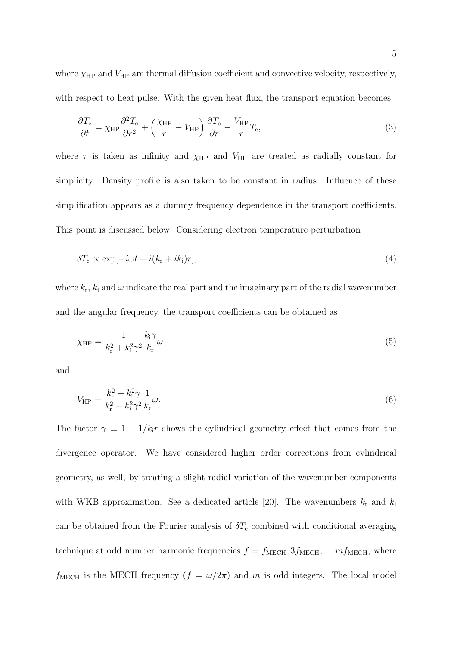where  $\chi_{\text{HP}}$  and  $V_{\text{HP}}$  are thermal diffusion coefficient and convective velocity, respectively, with respect to heat pulse. With the given heat flux, the transport equation becomes

$$
\frac{\partial T_{\rm e}}{\partial t} = \chi_{\rm HP} \frac{\partial^2 T_{\rm e}}{\partial r^2} + \left(\frac{\chi_{\rm HP}}{r} - V_{\rm HP}\right) \frac{\partial T_{\rm e}}{\partial r} - \frac{V_{\rm HP}}{r} T_{\rm e},\tag{3}
$$

where  $\tau$  is taken as infinity and  $\chi$ <sub>HP</sub> and  $V$ <sub>HP</sub> are treated as radially constant for simplicity. Density profile is also taken to be constant in radius. Influence of these simplification appears as a dummy frequency dependence in the transport coefficients. This point is discussed below. Considering electron temperature perturbation

$$
\delta T_{\rm e} \propto \exp[-i\omega t + i(k_{\rm r} + ik_{\rm i})r],\tag{4}
$$

where  $k_r$ ,  $k_i$  and  $\omega$  indicate the real part and the imaginary part of the radial wavenumber and the angular frequency, the transport coefficients can be obtained as

$$
\chi_{\rm HP} = \frac{1}{k_{\rm r}^2 + k_{\rm i}^2 \gamma^2} \frac{k_{\rm i} \gamma}{k_{\rm r}} \omega \tag{5}
$$

and

$$
V_{\rm HP} = \frac{k_{\rm r}^2 - k_{\rm i}^2 \gamma}{k_{\rm r}^2 + k_{\rm i}^2 \gamma^2} \frac{1}{k_{\rm r}} \omega.
$$
\n(6)

The factor  $\gamma \equiv 1 - 1/k_i r$  shows the cylindrical geometry effect that comes from the divergence operator. We have considered higher order corrections from cylindrical geometry, as well, by treating a slight radial variation of the wavenumber components with WKB approximation. See a dedicated article [20]. The wavenumbers  $k_r$  and  $k_i$ can be obtained from the Fourier analysis of  $\delta T_{\rm e}$  combined with conditional averaging technique at odd number harmonic frequencies  $f = f_{\text{MECH}}, 3f_{\text{MECH}}, ..., m f_{\text{MECH}},$  where  $f_{\text{MECH}}$  is the MECH frequency  $(f = \omega/2\pi)$  and *m* is odd integers. The local model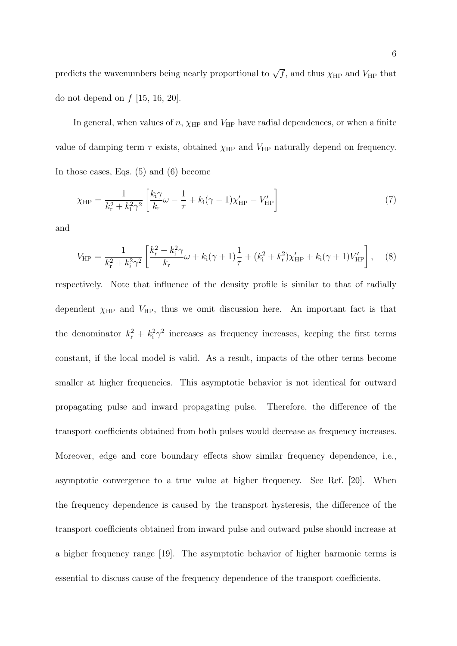predicts the wavenumbers being nearly proportional to  $\sqrt{f}$ , and thus  $\chi$ <sub>HP</sub> and  $V$ <sub>HP</sub> that do not depend on *f* [15, 16, 20].

In general, when values of  $n$ ,  $\chi$ <sub>HP</sub> and  $V$ <sub>HP</sub> have radial dependences, or when a finite value of damping term  $\tau$  exists, obtained  $\chi$ <sub>HP</sub> and  $V$ <sub>HP</sub> naturally depend on frequency. In those cases, Eqs. (5) and (6) become

$$
\chi_{\rm HP} = \frac{1}{k_{\rm r}^2 + k_{\rm i}^2 \gamma^2} \left[ \frac{k_{\rm i} \gamma}{k_{\rm r}} \omega - \frac{1}{\tau} + k_{\rm i} (\gamma - 1) \chi'_{\rm HP} - V'_{\rm HP} \right] \tag{7}
$$

and

$$
V_{\rm HP} = \frac{1}{k_{\rm r}^2 + k_{\rm i}^2 \gamma^2} \left[ \frac{k_{\rm r}^2 - k_{\rm i}^2 \gamma}{k_{\rm r}} \omega + k_{\rm i} (\gamma + 1) \frac{1}{\tau} + (k_{\rm i}^2 + k_{\rm r}^2) \chi'_{\rm HP} + k_{\rm i} (\gamma + 1) V'_{\rm HP} \right], \quad (8)
$$

respectively. Note that influence of the density profile is similar to that of radially dependent  $\chi_{\text{HP}}$  and  $V_{\text{HP}}$ , thus we omit discussion here. An important fact is that the denominator  $k_r^2 + k_i^2 \gamma^2$  increases as frequency increases, keeping the first terms constant, if the local model is valid. As a result, impacts of the other terms become smaller at higher frequencies. This asymptotic behavior is not identical for outward propagating pulse and inward propagating pulse. Therefore, the difference of the transport coefficients obtained from both pulses would decrease as frequency increases. Moreover, edge and core boundary effects show similar frequency dependence, i.e., asymptotic convergence to a true value at higher frequency. See Ref. [20]. When the frequency dependence is caused by the transport hysteresis, the difference of the transport coefficients obtained from inward pulse and outward pulse should increase at a higher frequency range [19]. The asymptotic behavior of higher harmonic terms is essential to discuss cause of the frequency dependence of the transport coefficients.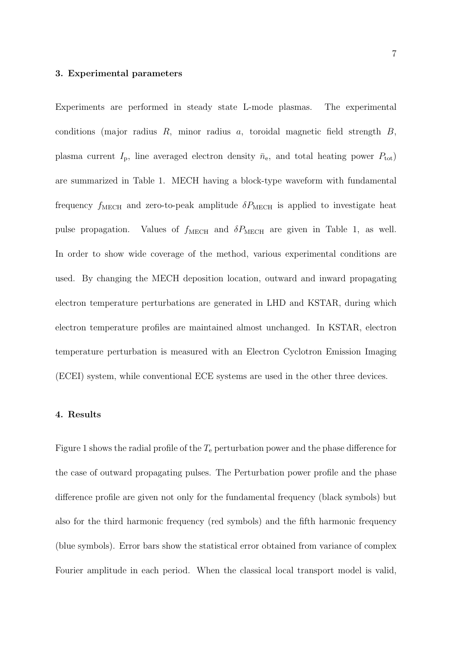#### **3. Experimental parameters**

Experiments are performed in steady state L-mode plasmas. The experimental conditions (major radius *R*, minor radius *a*, toroidal magnetic field strength *B*, plasma current  $I_p$ , line averaged electron density  $\bar{n}_e$ , and total heating power  $P_{\text{tot}}$ ) are summarized in Table 1. MECH having a block-type waveform with fundamental frequency  $f_{\text{MECH}}$  and zero-to-peak amplitude  $\delta P_{\text{MECH}}$  is applied to investigate heat pulse propagation. Values of  $f_{\text{MECH}}$  and  $\delta P_{\text{MECH}}$  are given in Table 1, as well. In order to show wide coverage of the method, various experimental conditions are used. By changing the MECH deposition location, outward and inward propagating electron temperature perturbations are generated in LHD and KSTAR, during which electron temperature profiles are maintained almost unchanged. In KSTAR, electron temperature perturbation is measured with an Electron Cyclotron Emission Imaging (ECEI) system, while conventional ECE systems are used in the other three devices.

#### **4. Results**

Figure 1 shows the radial profile of the  $T_e$  perturbation power and the phase difference for the case of outward propagating pulses. The Perturbation power profile and the phase difference profile are given not only for the fundamental frequency (black symbols) but also for the third harmonic frequency (red symbols) and the fifth harmonic frequency (blue symbols). Error bars show the statistical error obtained from variance of complex Fourier amplitude in each period. When the classical local transport model is valid,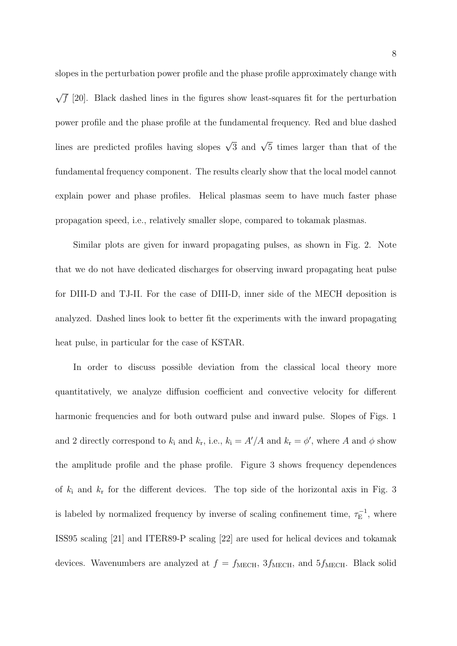slopes in the perturbation power profile and the phase profile approximately change with *√***f** [20]. Black dashed lines in the figures show least-squares fit for the perturbation power profile and the phase profile at the fundamental frequency. Red and blue dashed lines are predicted profiles having slopes *<sup>√</sup>* 3 and *<sup>√</sup>* 5 times larger than that of the fundamental frequency component. The results clearly show that the local model cannot explain power and phase profiles. Helical plasmas seem to have much faster phase propagation speed, i.e., relatively smaller slope, compared to tokamak plasmas.

Similar plots are given for inward propagating pulses, as shown in Fig. 2. Note that we do not have dedicated discharges for observing inward propagating heat pulse for DIII-D and TJ-II. For the case of DIII-D, inner side of the MECH deposition is analyzed. Dashed lines look to better fit the experiments with the inward propagating heat pulse, in particular for the case of KSTAR.

In order to discuss possible deviation from the classical local theory more quantitatively, we analyze diffusion coefficient and convective velocity for different harmonic frequencies and for both outward pulse and inward pulse. Slopes of Figs. 1 and 2 directly correspond to  $k_i$  and  $k_r$ , i.e.,  $k_i = A'/A$  and  $k_r = \phi'$ , where A and  $\phi$  show the amplitude profile and the phase profile. Figure 3 shows frequency dependences of  $k_i$  and  $k_r$  for the different devices. The top side of the horizontal axis in Fig. 3 is labeled by normalized frequency by inverse of scaling confinement time,  $\tau_{\rm E}^{-1}$ , where ISS95 scaling [21] and ITER89-P scaling [22] are used for helical devices and tokamak devices. Wavenumbers are analyzed at  $f = f_{\text{MECH}}$ ,  $3f_{\text{MECH}}$ , and  $5f_{\text{MECH}}$ . Black solid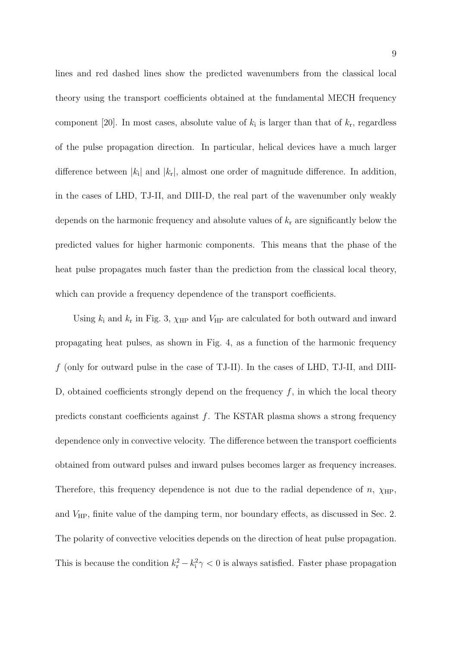lines and red dashed lines show the predicted wavenumbers from the classical local theory using the transport coefficients obtained at the fundamental MECH frequency component [20]. In most cases, absolute value of  $k_i$  is larger than that of  $k_r$ , regardless of the pulse propagation direction. In particular, helical devices have a much larger difference between *|k*<sup>i</sup> *|* and *|k*<sup>r</sup> *|*, almost one order of magnitude difference. In addition, in the cases of LHD, TJ-II, and DIII-D, the real part of the wavenumber only weakly depends on the harmonic frequency and absolute values of *k*<sup>r</sup> are significantly below the predicted values for higher harmonic components. This means that the phase of the heat pulse propagates much faster than the prediction from the classical local theory, which can provide a frequency dependence of the transport coefficients.

Using  $k_i$  and  $k_r$  in Fig. 3,  $\chi$ <sub>HP</sub> and  $V$ <sub>HP</sub> are calculated for both outward and inward propagating heat pulses, as shown in Fig. 4, as a function of the harmonic frequency *f* (only for outward pulse in the case of TJ-II). In the cases of LHD, TJ-II, and DIII-D, obtained coefficients strongly depend on the frequency *f*, in which the local theory predicts constant coefficients against *f*. The KSTAR plasma shows a strong frequency dependence only in convective velocity. The difference between the transport coefficients obtained from outward pulses and inward pulses becomes larger as frequency increases. Therefore, this frequency dependence is not due to the radial dependence of  $n$ ,  $\chi_{\text{HP}}$ , and  $V_{\text{HP}}$ , finite value of the damping term, nor boundary effects, as discussed in Sec. 2. The polarity of convective velocities depends on the direction of heat pulse propagation. This is because the condition  $k_r^2 - k_i^2 \gamma < 0$  is always satisfied. Faster phase propagation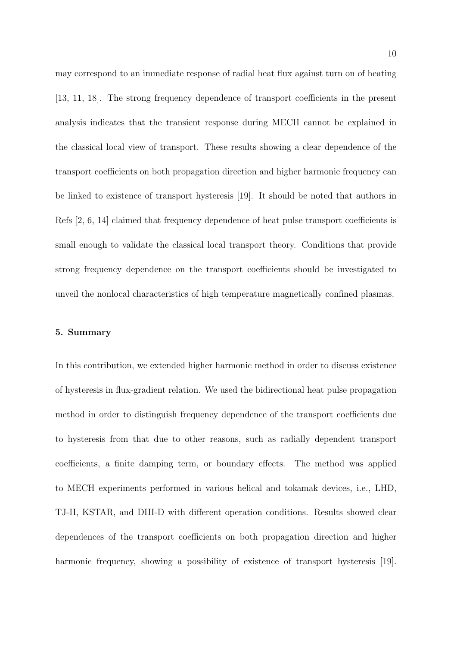may correspond to an immediate response of radial heat flux against turn on of heating [13, 11, 18]. The strong frequency dependence of transport coefficients in the present analysis indicates that the transient response during MECH cannot be explained in the classical local view of transport. These results showing a clear dependence of the transport coefficients on both propagation direction and higher harmonic frequency can be linked to existence of transport hysteresis [19]. It should be noted that authors in Refs [2, 6, 14] claimed that frequency dependence of heat pulse transport coefficients is small enough to validate the classical local transport theory. Conditions that provide strong frequency dependence on the transport coefficients should be investigated to unveil the nonlocal characteristics of high temperature magnetically confined plasmas.

## **5. Summary**

In this contribution, we extended higher harmonic method in order to discuss existence of hysteresis in flux-gradient relation. We used the bidirectional heat pulse propagation method in order to distinguish frequency dependence of the transport coefficients due to hysteresis from that due to other reasons, such as radially dependent transport coefficients, a finite damping term, or boundary effects. The method was applied to MECH experiments performed in various helical and tokamak devices, i.e., LHD, TJ-II, KSTAR, and DIII-D with different operation conditions. Results showed clear dependences of the transport coefficients on both propagation direction and higher harmonic frequency, showing a possibility of existence of transport hysteresis [19].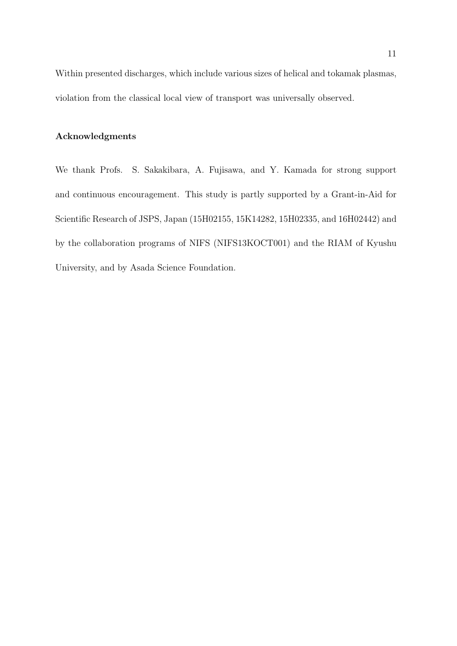Within presented discharges, which include various sizes of helical and tokamak plasmas, violation from the classical local view of transport was universally observed.

## **Acknowledgments**

We thank Profs. S. Sakakibara, A. Fujisawa, and Y. Kamada for strong support and continuous encouragement. This study is partly supported by a Grant-in-Aid for Scientific Research of JSPS, Japan (15H02155, 15K14282, 15H02335, and 16H02442) and by the collaboration programs of NIFS (NIFS13KOCT001) and the RIAM of Kyushu University, and by Asada Science Foundation.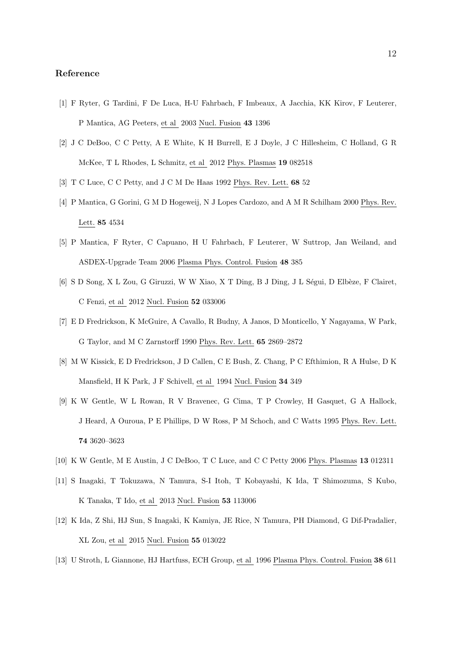#### **Reference**

- [1] F Ryter, G Tardini, F De Luca, H-U Fahrbach, F Imbeaux, A Jacchia, KK Kirov, F Leuterer, P Mantica, AG Peeters, et al 2003 Nucl. Fusion **43** 1396
- [2] J C DeBoo, C C Petty, A E White, K H Burrell, E J Doyle, J C Hillesheim, C Holland, G R McKee, T L Rhodes, L Schmitz, et al 2012 Phys. Plasmas **19** 082518
- [3] T C Luce, C C Petty, and J C M De Haas 1992 Phys. Rev. Lett. **68** 52
- [4] P Mantica, G Gorini, G M D Hogeweij, N J Lopes Cardozo, and A M R Schilham 2000 Phys. Rev. Lett. **85** 4534
- [5] P Mantica, F Ryter, C Capuano, H U Fahrbach, F Leuterer, W Suttrop, Jan Weiland, and ASDEX-Upgrade Team 2006 Plasma Phys. Control. Fusion **48** 385
- [6] S D Song, X L Zou, G Giruzzi, W W Xiao, X T Ding, B J Ding, J L Ségui, D Elbèze, F Clairet, C Fenzi, et al 2012 Nucl. Fusion **52** 033006
- [7] E D Fredrickson, K McGuire, A Cavallo, R Budny, A Janos, D Monticello, Y Nagayama, W Park, G Taylor, and M C Zarnstorff 1990 Phys. Rev. Lett. **65** 2869–2872
- [8] M W Kissick, E D Fredrickson, J D Callen, C E Bush, Z. Chang, P C Efthimion, R A Hulse, D K Mansfield, H K Park, J F Schivell, et al 1994 Nucl. Fusion **34** 349
- [9] K W Gentle, W L Rowan, R V Bravenec, G Cima, T P Crowley, H Gasquet, G A Hallock, J Heard, A Ouroua, P E Phillips, D W Ross, P M Schoch, and C Watts 1995 Phys. Rev. Lett. **74** 3620–3623
- [10] K W Gentle, M E Austin, J C DeBoo, T C Luce, and C C Petty 2006 Phys. Plasmas **13** 012311
- [11] S Inagaki, T Tokuzawa, N Tamura, S-I Itoh, T Kobayashi, K Ida, T Shimozuma, S Kubo, K Tanaka, T Ido, et al 2013 Nucl. Fusion **53** 113006
- [12] K Ida, Z Shi, HJ Sun, S Inagaki, K Kamiya, JE Rice, N Tamura, PH Diamond, G Dif-Pradalier, XL Zou, et al 2015 Nucl. Fusion **55** 013022
- [13] U Stroth, L Giannone, HJ Hartfuss, ECH Group, et al 1996 Plasma Phys. Control. Fusion **38** 611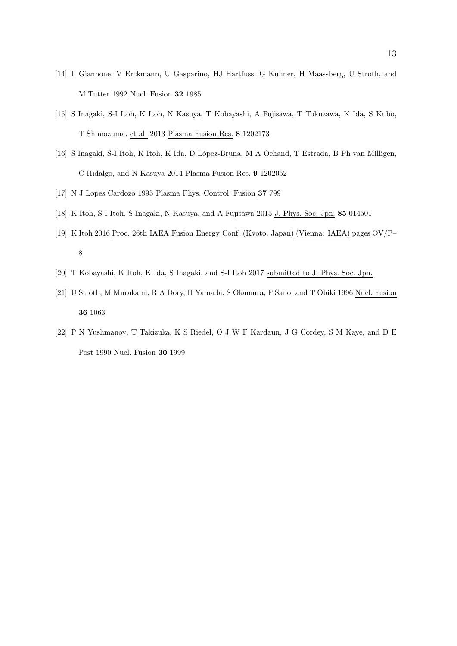- [14] L Giannone, V Erckmann, U Gasparino, HJ Hartfuss, G Kuhner, H Maassberg, U Stroth, and M Tutter 1992 Nucl. Fusion **32** 1985
- [15] S Inagaki, S-I Itoh, K Itoh, N Kasuya, T Kobayashi, A Fujisawa, T Tokuzawa, K Ida, S Kubo, T Shimozuma, et al 2013 Plasma Fusion Res. **8** 1202173
- [16] S Inagaki, S-I Itoh, K Itoh, K Ida, D L´opez-Bruna, M A Ochand, T Estrada, B Ph van Milligen, C Hidalgo, and N Kasuya 2014 Plasma Fusion Res. **9** 1202052
- [17] N J Lopes Cardozo 1995 Plasma Phys. Control. Fusion **37** 799
- [18] K Itoh, S-I Itoh, S Inagaki, N Kasuya, and A Fujisawa 2015 J. Phys. Soc. Jpn. **85** 014501
- [19] K Itoh 2016 Proc. 26th IAEA Fusion Energy Conf. (Kyoto, Japan) (Vienna: IAEA) pages OV/P– 8
- [20] T Kobayashi, K Itoh, K Ida, S Inagaki, and S-I Itoh 2017 submitted to J. Phys. Soc. Jpn.
- [21] U Stroth, M Murakami, R A Dory, H Yamada, S Okamura, F Sano, and T Obiki 1996 Nucl. Fusion **36** 1063
- [22] P N Yushmanov, T Takizuka, K S Riedel, O J W F Kardaun, J G Cordey, S M Kaye, and D E Post 1990 Nucl. Fusion **30** 1999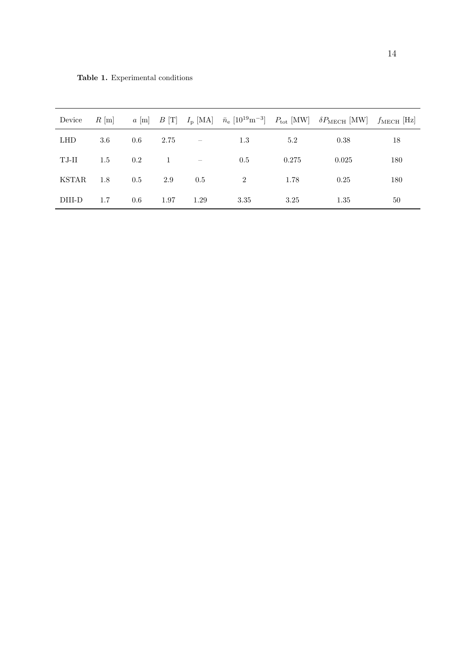| Device     |     |         |      |              |      |       | $R \text{ [m]}$ $a \text{ [m]}$ $B \text{ [T]}$ $I_p \text{ [MA]}$ $\bar{n}_e \text{ [10}^{19} \text{m}^{-3]}$ $P_{\text{tot}} \text{ [MW]}$ $\delta P_{\text{MECH}} \text{ [MW]}$ $f_{\text{MECH}} \text{ [Hz]}$ |     |
|------------|-----|---------|------|--------------|------|-------|-------------------------------------------------------------------------------------------------------------------------------------------------------------------------------------------------------------------|-----|
| <b>LHD</b> | 3.6 | $0.6\,$ | 2.75 | $\sim$ $-$   | 1.3  | 5.2   | 0.38                                                                                                                                                                                                              | 18  |
| TJ-II      | 1.5 | 0.2     |      | $1 \qquad -$ | 0.5  | 0.275 | 0.025                                                                                                                                                                                                             | 180 |
| KSTAR      | 1.8 | 0.5     | 2.9  | $0.5\,$      | 2    | 1.78  | 0.25                                                                                                                                                                                                              | 180 |
| DIII-D     | 1.7 | 0.6     | 1.97 | 1.29         | 3.35 | 3.25  | 1.35                                                                                                                                                                                                              | 50  |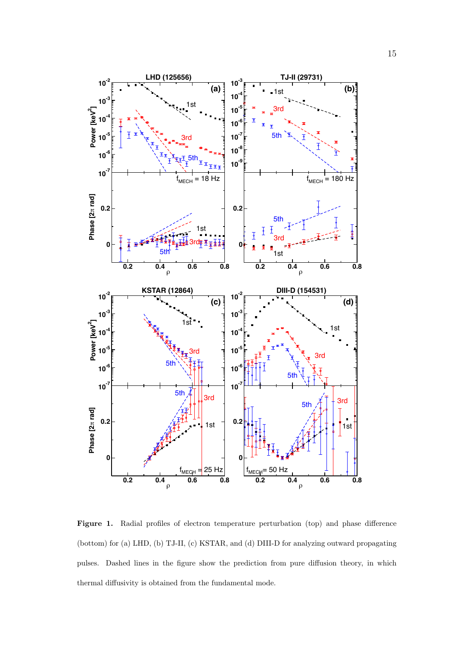

Figure 1. Radial profiles of electron temperature perturbation (top) and phase difference (bottom) for (a) LHD, (b) TJ-II, (c) KSTAR, and (d) DIII-D for analyzing outward propagating pulses. Dashed lines in the figure show the prediction from pure diffusion theory, in which thermal diffusivity is obtained from the fundamental mode.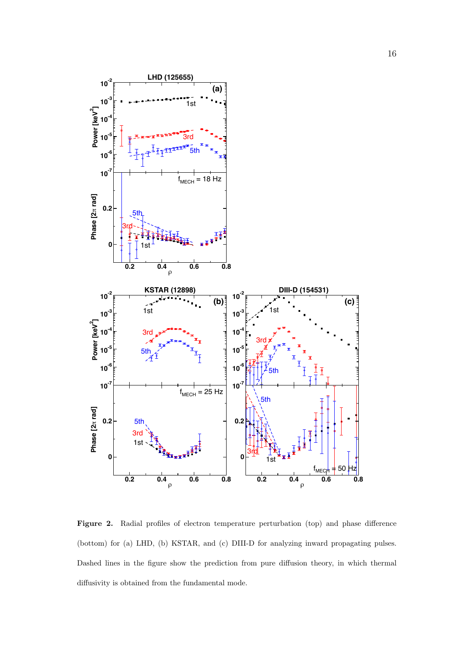

Figure 2. Radial profiles of electron temperature perturbation (top) and phase difference (bottom) for (a) LHD, (b) KSTAR, and (c) DIII-D for analyzing inward propagating pulses. Dashed lines in the figure show the prediction from pure diffusion theory, in which thermal diffusivity is obtained from the fundamental mode.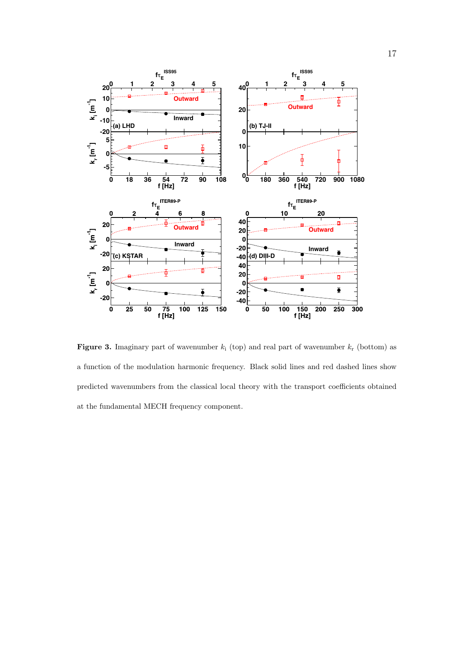

**Figure 3.** Imaginary part of wavenumber  $k_i$  (top) and real part of wavenumber  $k_r$  (bottom) as a function of the modulation harmonic frequency. Black solid lines and red dashed lines show predicted wavenumbers from the classical local theory with the transport coefficients obtained at the fundamental MECH frequency component.